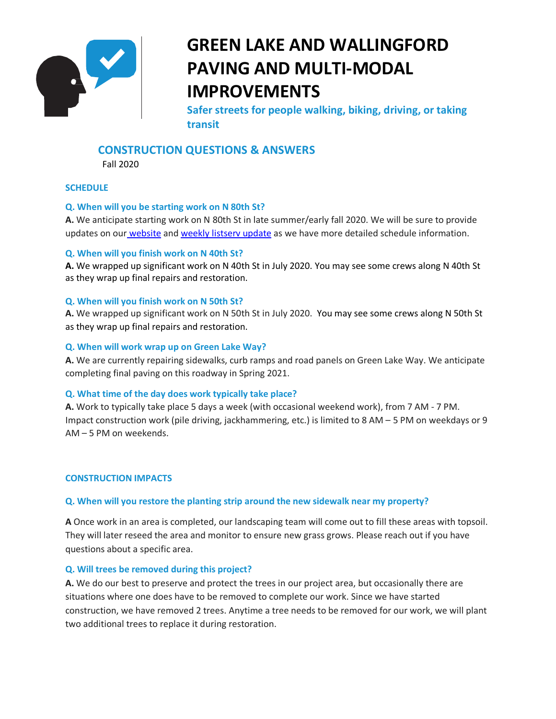

# **GREEN LAKE AND WALLINGFORD PAVING AND MULTI-MODAL IMPROVEMENTS**

**Safer streets for people walking, biking, driving, or taking transit**

# **CONSTRUCTION QUESTIONS & ANSWERS**

Fall 2020

# **SCHEDULE**

# **Q. When will you be starting work on N 80th St?**

**A.** We anticipate starting work on N 80th St in late summer/early fall 2020. We will be sure to provide updates on our [website](http://www.seattle.gov/transportation/projects-and-programs/programs/maintenance-and-paving/current-paving-projects/green-lake-area-paving-and-safety-projects) and [weekly listserv update](https://sdotforms.envirolytical.com/projects/green-lake-and-wallingford-paving-and-multi-modal-improvements) as we have more detailed schedule information.

#### **Q. When will you finish work on N 40th St?**

**A.** We wrapped up significant work on N 40th St in July 2020. You may see some crews along N 40th St as they wrap up final repairs and restoration.

# **Q. When will you finish work on N 50th St?**

**A.** We wrapped up significant work on N 50th St in July 2020. You may see some crews along N 50th St as they wrap up final repairs and restoration.

# **Q. When will work wrap up on Green Lake Way?**

**A.** We are currently repairing sidewalks, curb ramps and road panels on Green Lake Way. We anticipate completing final paving on this roadway in Spring 2021.

# **Q. What time of the day does work typically take place?**

**A.** Work to typically take place 5 days a week (with occasional weekend work), from 7 AM - 7 PM. Impact construction work (pile driving, jackhammering, etc.) is limited to 8 AM – 5 PM on weekdays or 9 AM – 5 PM on weekends.

#### **CONSTRUCTION IMPACTS**

# **Q. When will you restore the planting strip around the new sidewalk near my property?**

**A** Once work in an area is completed, our landscaping team will come out to fill these areas with topsoil. They will later reseed the area and monitor to ensure new grass grows. Please reach out if you have questions about a specific area.

#### **Q. Will trees be removed during this project?**

**A.** We do our best to preserve and protect the trees in our project area, but occasionally there are situations where one does have to be removed to complete our work. Since we have started construction, we have removed 2 trees. Anytime a tree needs to be removed for our work, we will plant two additional trees to replace it during restoration.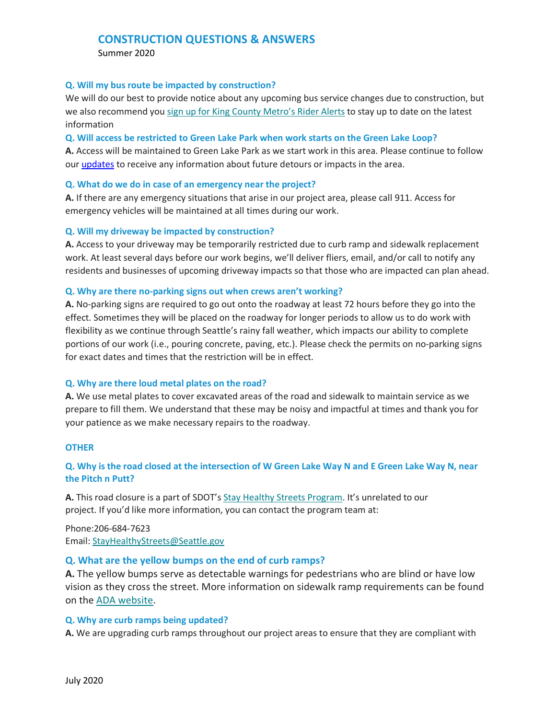# **CONSTRUCTION QUESTIONS & ANSWERS**

Summer 2020

#### **Q. Will my bus route be impacted by construction?**

We will do our best to provide notice about any upcoming bus service changes due to construction, but we also recommend you [sign up for King County Metro's Rider Alerts](https://kingcounty.gov/depts/transportation/metro/alerts-updates/signup.aspx) to stay up to date on the latest information

**Q. Will access be restricted to Green Lake Park when work starts on the Green Lake Loop?**

**A.** Access will be maintained to Green Lake Park as we start work in this area. Please continue to follow our [updates](https://sdotforms.envirolytical.com/projects/green-lake-and-wallingford-paving-and-multi-modal-improvements) to receive any information about future detours or impacts in the area.

#### **Q. What do we do in case of an emergency near the project?**

**A.** If there are any emergency situations that arise in our project area, please call 911. Access for emergency vehicles will be maintained at all times during our work.

#### **Q. Will my driveway be impacted by construction?**

**A.** Access to your driveway may be temporarily restricted due to curb ramp and sidewalk replacement work. At least several days before our work begins, we'll deliver fliers, email, and/or call to notify any residents and businesses of upcoming driveway impacts so that those who are impacted can plan ahead.

#### **Q. Why are there no-parking signs out when crews aren't working?**

**A.** No-parking signs are required to go out onto the roadway at least 72 hours before they go into the effect. Sometimes they will be placed on the roadway for longer periods to allow us to do work with flexibility as we continue through Seattle's rainy fall weather, which impacts our ability to complete portions of our work (i.e., pouring concrete, paving, etc.). Please check the permits on no-parking signs for exact dates and times that the restriction will be in effect.

#### **Q. Why are there loud metal plates on the road?**

**A.** We use metal plates to cover excavated areas of the road and sidewalk to maintain service as we prepare to fill them. We understand that these may be noisy and impactful at times and thank you for your patience as we make necessary repairs to the roadway.

#### **OTHER**

# **Q. Why is the road closed at the intersection of W Green Lake Way N and E Green Lake Way N, near the Pitch n Putt?**

**A.** This road closure is a part of SDOT's [Stay Healthy Streets Program.](https://www.seattle.gov/transportation/projects-and-programs/programs/stay-healthy-streets) It's unrelated to our project. If you'd like more information, you can contact the program team at:

Phone:206-684-7623 Email: [StayHealthyStreets@Seattle.gov](mailto:StayHealthyStreets@Seattle.gov) 

#### **Q. What are the yellow bumps on the end of curb ramps?**

**A.** The yellow bumps serve as detectable warnings for pedestrians who are blind or have low vision as they cross the street. More information on sidewalk ramp requirements can be found on the [ADA website.](https://www.ada.gov/pcatoolkit/chap6toolkit.htm)

#### **Q. Why are curb ramps being updated?**

**A.** We are upgrading curb ramps throughout our project areas to ensure that they are compliant with